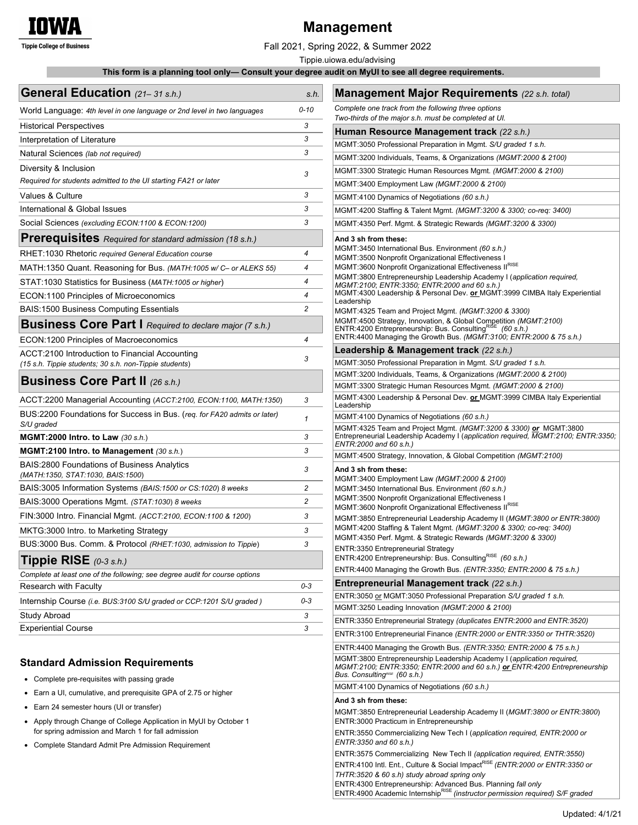

# **Management**

Fall 2021, Spring 2022, & Summer 2022

Tippie.uiowa.edu/advising

 **This form is a planning tool only— Consult your degree audit on MyUI to see all degree requirements.**

| General Education (21-31 s.h.)                                                         | s.h.           | <b>Management Major Requirements</b> (22 s.h. total)                                                                               |  |
|----------------------------------------------------------------------------------------|----------------|------------------------------------------------------------------------------------------------------------------------------------|--|
| World Language: 4th level in one language or 2nd level in two languages                | $0 - 10$       | Complete one track from the following three options<br>Two-thirds of the major s.h. must be completed at UI.                       |  |
| <b>Historical Perspectives</b>                                                         | 3              |                                                                                                                                    |  |
| Interpretation of Literature                                                           | 3              | Human Resource Management track (22 s.h.)<br>MGMT:3050 Professional Preparation in Mgmt. S/U graded 1 s.h.                         |  |
| Natural Sciences (lab not required)                                                    | 3              | MGMT:3200 Individuals, Teams, & Organizations (MGMT:2000 & 2100)                                                                   |  |
| Diversity & Inclusion                                                                  |                | MGMT:3300 Strategic Human Resources Mgmt. (MGMT:2000 & 2100)                                                                       |  |
| Required for students admitted to the UI starting FA21 or later                        | 3              | MGMT:3400 Employment Law (MGMT:2000 & 2100)                                                                                        |  |
| Values & Culture                                                                       | 3              | MGMT:4100 Dynamics of Negotiations (60 s.h.)                                                                                       |  |
| International & Global Issues                                                          | 3              | MGMT:4200 Staffing & Talent Mgmt. (MGMT:3200 & 3300; co-req: 3400)                                                                 |  |
| Social Sciences (excluding ECON:1100 & ECON:1200)                                      | 3              | MGMT:4350 Perf. Mgmt. & Strategic Rewards (MGMT:3200 & 3300)                                                                       |  |
| <b>Prerequisites</b> Required for standard admission (18 s.h.)                         |                | And 3 sh from these:                                                                                                               |  |
| RHET:1030 Rhetoric required General Education course                                   | $\overline{4}$ | MGMT:3450 International Bus. Environment (60 s.h.)                                                                                 |  |
| MATH:1350 Quant. Reasoning for Bus. (MATH:1005 w/ C- or ALEKS 55)                      | 4              | MGMT:3500 Nonprofit Organizational Effectiveness I<br>MGMT:3600 Nonprofit Organizational Effectiveness IIRISE                      |  |
| STAT: 1030 Statistics for Business (MATH: 1005 or higher)                              | 4              | MGMT:3800 Entrepreneurship Leadership Academy I (application required,                                                             |  |
| ECON:1100 Principles of Microeconomics                                                 | 4              | MGMT:2100; ENTR:3350; ENTR:2000 and 60 s.h.)<br>MGMT:4300 Leadership & Personal Dev. or MGMT:3999 CIMBA Italy Experiential         |  |
| <b>BAIS:1500 Business Computing Essentials</b>                                         | $\overline{c}$ | Leadership                                                                                                                         |  |
|                                                                                        |                | MGMT:4325 Team and Project Mgmt. (MGMT:3200 & 3300)<br>MGMT:4500 Strategy, Innovation, & Global Competition (MGMT:2100)            |  |
| <b>Business Core Part I</b> Required to declare major (7 s.h.)                         |                | ENTR:4200 Entrepreneurship: Bus. ConsultingRISE (60 s.h.)<br>ENTR:4400 Managing the Growth Bus. (MGMT:3100; ENTR:2000 & 75 s.h.)   |  |
| ECON:1200 Principles of Macroeconomics                                                 | 4              |                                                                                                                                    |  |
| ACCT:2100 Introduction to Financial Accounting                                         | 3              | Leadership & Management track (22 s.h.)<br>MGMT:3050 Professional Preparation in Mgmt. S/U graded 1 s.h.                           |  |
| (15 s.h. Tippie students; 30 s.h. non-Tippie students)                                 |                | MGMT:3200 Individuals, Teams, & Organizations (MGMT:2000 & 2100)                                                                   |  |
| <b>Business Core Part II (26 s.h.)</b>                                                 |                | MGMT:3300 Strategic Human Resources Mgmt. (MGMT:2000 & 2100)                                                                       |  |
| ACCT:2200 Managerial Accounting (ACCT:2100, ECON:1100, MATH:1350)                      | 3              | MGMT:4300 Leadership & Personal Dev. or MGMT:3999 CIMBA Italy Experiential                                                         |  |
| BUS:2200 Foundations for Success in Bus. (reg. for FA20 admits or later)<br>S/U graded | $\mathbf{1}$   | Leadership<br>MGMT:4100 Dynamics of Negotiations (60 s.h.)<br>MGMT:4325 Team and Project Mgmt. (MGMT:3200 & 3300) or MGMT:3800     |  |
| MGMT:2000 Intro. to Law $(30 \text{ s.h.})$                                            | 3              | Entrepreneurial Leadership Academy I (application required, MGMT:2100; ENTR:3350;                                                  |  |
| MGMT:2100 Intro. to Management (30 s.h.)                                               | 3              | ENTR:2000 and 60 s.h.)                                                                                                             |  |
| BAIS:2800 Foundations of Business Analytics                                            |                | MGMT:4500 Strategy, Innovation, & Global Competition (MGMT:2100)                                                                   |  |
| (MATH:1350, STAT:1030, BAIS:1500)                                                      | 3              | And 3 sh from these:<br>MGMT:3400 Employment Law (MGMT:2000 & 2100)                                                                |  |
| BAIS:3005 Information Systems (BAIS:1500 or CS:1020) 8 weeks                           | $\overline{c}$ | MGMT:3450 International Bus. Environment (60 s.h.)                                                                                 |  |
| BAIS:3000 Operations Mgmt. (STAT:1030) 8 weeks                                         | $\overline{c}$ | MGMT:3500 Nonprofit Organizational Effectiveness I<br>MGMT:3600 Nonprofit Organizational Effectiveness IIRISE                      |  |
| FIN:3000 Intro. Financial Mgmt. (ACCT:2100, ECON:1100 & 1200)                          | 3              | MGMT:3850 Entrepreneurial Leadership Academy II (MGMT:3800 or ENTR:3800)                                                           |  |
| MKTG:3000 Intro. to Marketing Strategy                                                 | 3              | MGMT:4200 Staffing & Talent Mgmt. (MGMT:3200 & 3300; co-req: 3400)<br>MGMT:4350 Perf. Mgmt. & Strategic Rewards (MGMT:3200 & 3300) |  |
| BUS:3000 Bus. Comm. & Protocol (RHET:1030, admission to Tippie)                        | 3              |                                                                                                                                    |  |
| <b>Tippie RISE</b> $(0-3 \text{ s.h.})$                                                |                | ENTR:3350 Entrepreneurial Strategy<br>ENTR:4200 Entrepreneurship: Bus. Consulting <sup>RISE</sup> (60 s.h.)                        |  |
| Complete at least one of the following; see degree audit for course options            |                | ENTR:4400 Managing the Growth Bus. (ENTR:3350; ENTR:2000 & 75 s.h.)                                                                |  |
| Research with Faculty                                                                  | 0-3            | Entrepreneurial Management track (22 s.h.)                                                                                         |  |
| Internship Course (i.e. BUS:3100 S/U graded or CCP:1201 S/U graded)                    | 0-3            | ENTR:3050 or MGMT:3050 Professional Preparation S/U graded 1 s.h.                                                                  |  |
| Study Abroad                                                                           | 3              | MGMT:3250 Leading Innovation (MGMT:2000 & 2100)                                                                                    |  |
| <b>Experiential Course</b>                                                             | 3              | ENTR:3350 Entrepreneurial Strategy (duplicates ENTR:2000 and ENTR:3520)                                                            |  |
|                                                                                        |                | ENTR:3100 Entrepreneurial Finance (ENTR:2000 or ENTR:3350 or THTR:3520)                                                            |  |
|                                                                                        |                | ENTR:4400 Managing the Growth Bus. (ENTR:3350; ENTR:2000 & 75 s.h.)                                                                |  |

#### **Standard Admission Requirements**

- Complete pre-requisites with passing grade
- Earn a UI, cumulative, and prerequisite GPA of 2.75 or higher
- Earn 24 semester hours (UI or transfer)
- Apply through Change of College Application in MyUI by October 1 for spring admission and March 1 for fall admission
- Complete Standard Admit Pre Admission Requirement

ENTR:3550 Commercializing New Tech I (*application required, ENTR:2000 or ENTR:3350 and 60 s.h.)* ENTR:3575 Commercializing New Tech II *(application required, ENTR:3550)*  ENTR:4100 Intl. Ent., Culture & Social ImpactRISE *(ENTR:2000 or ENTR:3350 or THTR:3520 & 60 s.h) study abroad spring only* ENTR:4300 Entrepreneurship: Advanced Bus. Planning *fall only* 

ENTR:4900 Academic InternshipRISE *(instructor permission required) S/F graded* 

MGMT:3850 Entrepreneurial Leadership Academy II (*MGMT:3800 or ENTR:3800*)

MGMT:3800 Entrepreneurship Leadership Academy I (*application required, MGMT:2100; ENTR:3350; ENTR:2000 and 60 s.h.) or ENTR:4200 Entrepreneurship* 

*Bus. ConsultingRISE (60 s.h.)* 

**And 3 sh from these:** 

MGMT:4100 Dynamics of Negotiations *(60 s.h.)*

ENTR:3000 Practicum in Entrepreneurship